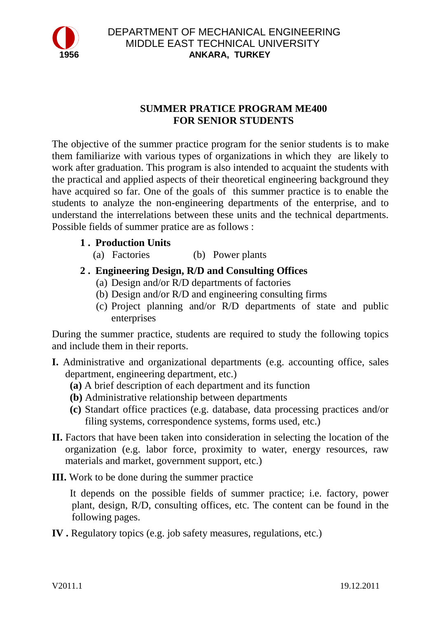

### **SUMMER PRATICE PROGRAM ME400 FOR SENIOR STUDENTS**

The objective of the summer practice program for the senior students is to make them familiarize with various types of organizations in which they are likely to work after graduation. This program is also intended to acquaint the students with the practical and applied aspects of their theoretical engineering background they have acquired so far. One of the goals of this summer practice is to enable the students to analyze the non-engineering departments of the enterprise, and to understand the interrelations between these units and the technical departments. Possible fields of summer pratice are as follows :

- **1 . Production Units**
	- (a) Factories (b) Power plants
- **2 . Engineering Design, R/D and Consulting Offices**
	- (a) Design and/or R/D departments of factories
	- (b) Design and/or R/D and engineering consulting firms
	- (c) Project planning and/or R/D departments of state and public enterprises

During the summer practice, students are required to study the following topics and include them in their reports.

- **I.** Administrative and organizational departments (e.g. accounting office, sales department, engineering department, etc.)
	- **(a)** A brief description of each department and its function
	- **(b)** Administrative relationship between departments
	- **(c)** Standart office practices (e.g. database, data processing practices and/or filing systems, correspondence systems, forms used, etc.)
- II. Factors that have been taken into consideration in selecting the location of the organization (e.g. labor force, proximity to water, energy resources, raw materials and market, government support, etc.)
- **III.** Work to be done during the summer practice

 It depends on the possible fields of summer practice; i.e. factory, power plant, design, R/D, consulting offices, etc. The content can be found in the following pages.

**IV .** Regulatory topics (e.g. job safety measures, regulations, etc.)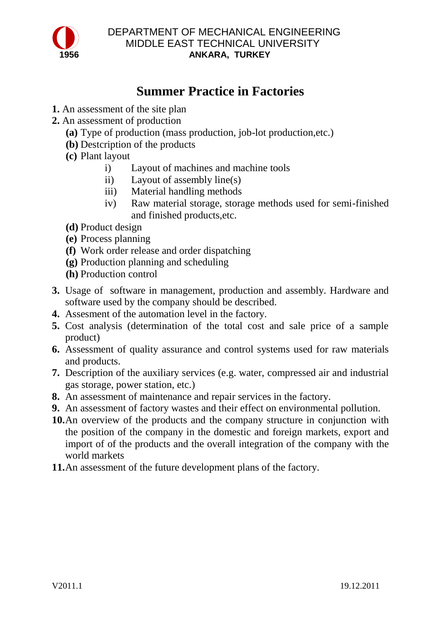

#### DEPARTMENT OF MECHANICAL ENGINEERING MIDDLE EAST TECHNICAL UNIVERSITY  **1956 ANKARA, TURKEY**

## **Summer Practice in Factories**

- **1.** An assessment of the site plan
- **2.** An assessment of production
	- **(a)** Type of production (mass production, job-lot production,etc.)
	- **(b)** Destcription of the products
	- **(c)** Plant layout
		- i) Layout of machines and machine tools
		- ii) Layout of assembly line(s)
		- iii) Material handling methods
		- iv) Raw material storage, storage methods used for semi-finished and finished products,etc.
	- **(d)** Product design
	- **(e)** Process planning
	- **(f)** Work order release and order dispatching
	- **(g)** Production planning and scheduling
	- **(h)** Production control
- **3.** Usage of software in management, production and assembly. Hardware and software used by the company should be described.
- **4.** Assesment of the automation level in the factory.
- **5.** Cost analysis (determination of the total cost and sale price of a sample product)
- **6.** Assessment of quality assurance and control systems used for raw materials and products.
- **7.** Description of the auxiliary services (e.g. water, compressed air and industrial gas storage, power station, etc.)
- **8.** An assessment of maintenance and repair services in the factory.
- **9.** An assessment of factory wastes and their effect on environmental pollution.
- **10.**An overview of the products and the company structure in conjunction with the position of the company in the domestic and foreign markets, export and import of of the products and the overall integration of the company with the world markets
- **11.**An assessment of the future development plans of the factory.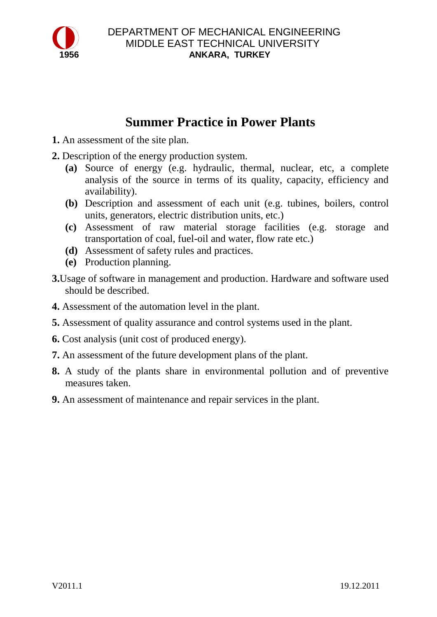

## **Summer Practice in Power Plants**

- **1.** An assessment of the site plan.
- **2.** Description of the energy production system.
	- **(a)** Source of energy (e.g. hydraulic, thermal, nuclear, etc, a complete analysis of the source in terms of its quality, capacity, efficiency and availability).
	- **(b)** Description and assessment of each unit (e.g. tubines, boilers, control units, generators, electric distribution units, etc.)
	- **(c)** Assessment of raw material storage facilities (e.g. storage and transportation of coal, fuel-oil and water, flow rate etc.)
	- **(d)** Assessment of safety rules and practices.
	- **(e)** Production planning.
- **3.**Usage of software in management and production. Hardware and software used should be described.
- **4.** Assessment of the automation level in the plant.
- **5.** Assessment of quality assurance and control systems used in the plant.
- **6.** Cost analysis (unit cost of produced energy).
- **7.** An assessment of the future development plans of the plant.
- **8.** A study of the plants share in environmental pollution and of preventive measures taken.
- **9.** An assessment of maintenance and repair services in the plant.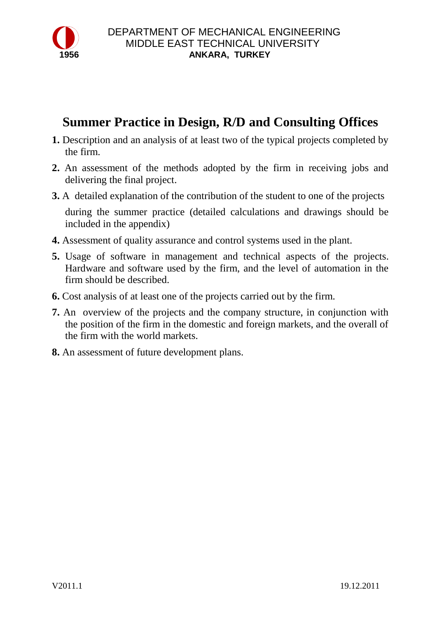

## **Summer Practice in Design, R/D and Consulting Offices**

- **1.** Description and an analysis of at least two of the typical projects completed by the firm.
- **2.** An assessment of the methods adopted by the firm in receiving jobs and delivering the final project.
- **3.** A detailed explanation of the contribution of the student to one of the projects during the summer practice (detailed calculations and drawings should be included in the appendix)
- **4.** Assessment of quality assurance and control systems used in the plant.
- **5.** Usage of software in management and technical aspects of the projects. Hardware and software used by the firm, and the level of automation in the firm should be described.
- **6.** Cost analysis of at least one of the projects carried out by the firm.
- **7.** An overview of the projects and the company structure, in conjunction with the position of the firm in the domestic and foreign markets, and the overall of the firm with the world markets.
- **8.** An assessment of future development plans.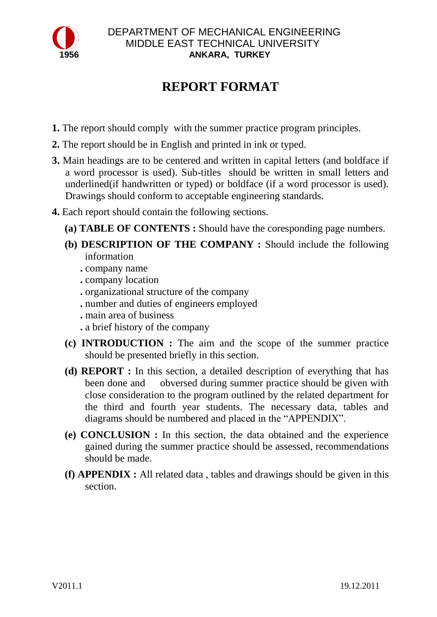

### DEPARTMENT OF MECHANICAL ENGINEERING MIDDLE EAST TECHNICAL UNIVERSITY  **1956 ANKARA, TURKEY**

# **REPORT FORMAT**

- **1.** The report should comply with the summer practice program principles.
- **2.** The report should be in English and printed in ink or typed.
- **3.** Main headings are to be centered and written in capital letters (and boldface if a word processor is used). Sub-titles should be written in small letters and underlined(if handwritten or typed) or boldface (if a word processor is used). Drawings should conform to acceptable engineering standards.
- **4.** Each report should contain the following sections.
	- **(a) TABLE OF CONTENTS :** Should have the coresponding page numbers.
	- **(b) DESCRIPTION OF THE COMPANY :** Should include the following information
		- **.** company name
		- **.** company location
		- **.** organizational structure of the company
		- **.** number and duties of engineers employed
		- **.** main area of business
		- **.** a brief history of the company
	- **(c) INTRODUCTION :** The aim and the scope of the summer practice should be presented briefly in this section.
	- **(d) REPORT :** In this section, a detailed description of everything that has been done and obversed during summer practice should be given with close consideration to the program outlined by the related department for the third and fourth year students. The necessary data, tables and diagrams should be numbered and placed in the "APPENDIX".
	- **(e) CONCLUSION :** In this section, the data obtained and the experience gained during the summer practice should be assessed, recommendations should be made.
	- **(f) APPENDIX :** All related data , tables and drawings should be given in this section.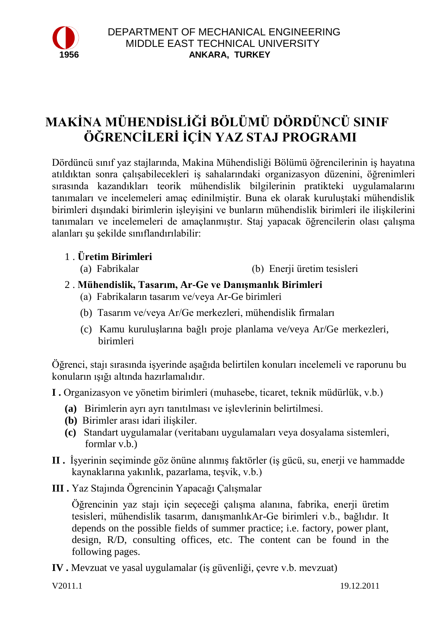

# **MAKİNA MÜHENDİSLİĞİ BÖLÜMÜ DÖRDÜNCÜ SINIF ÖĞRENCİLERİ İÇİN YAZ STAJ PROGRAMI**

Dördüncü sınıf yaz stajlarında, Makina Mühendisliği Bölümü öğrencilerinin iş hayatına atıldıktan sonra çalışabilecekleri iş sahalarındaki organizasyon düzenini, öğrenimleri sırasında kazandıkları teorik mühendislik bilgilerinin pratikteki uygulamalarını tanımaları ve incelemeleri amaç edinilmiştir. Buna ek olarak kuruluştaki mühendislik birimleri dışındaki birimlerin işleyişini ve bunların mühendislik birimleri ile ilişkilerini tanımaları ve incelemeleri de amaçlanmıştır. Staj yapacak öğrencilerin olası çalışma alanları şu şekilde sınıflandırılabilir:

- 1 . **Üretim Birimleri**
	- (a) Fabrikalar (b) Enerji üretim tesisleri
- 2 . **Mühendislik, Tasarım, Ar-Ge ve Danışmanlık Birimleri**
	- (a) Fabrikaların tasarım ve/veya Ar-Ge birimleri
	- (b) Tasarım ve/veya Ar/Ge merkezleri, mühendislik firmaları
	- (c) Kamu kuruluşlarına bağlı proje planlama ve/veya Ar/Ge merkezleri, birimleri

Öğrenci, stajı sırasında işyerinde aşağıda belirtilen konuları incelemeli ve raporunu bu konuların ışığı altında hazırlamalıdır.

- **I .** Organizasyon ve yönetim birimleri (muhasebe, ticaret, teknik müdürlük, v.b.)
	- **(a)** Birimlerin ayrı ayrı tanıtılması ve işlevlerinin belirtilmesi.
	- **(b)** Birimler arası idari ilişkiler.
	- **(c)** Standart uygulamalar (veritabanı uygulamaları veya dosyalama sistemleri, formlar v.b.)
- **II .** İşyerinin seçiminde göz önüne alınmış faktörler (iş gücü, su, enerji ve hammadde kaynaklarına yakınlık, pazarlama, teşvik, v.b.)
- **III .** Yaz Stajında Ögrencinin Yapacağı Çalışmalar

Öğrencinin yaz stajı için seçeceği çalışma alanına, fabrika, enerji üretim tesisleri, mühendislik tasarım, danışmanlıkAr-Ge birimleri v.b., bağlıdır. It depends on the possible fields of summer practice; i.e. factory, power plant, design, R/D, consulting offices, etc. The content can be found in the following pages.

**IV .** Mevzuat ve yasal uygulamalar (iş güvenliği, çevre v.b. mevzuat)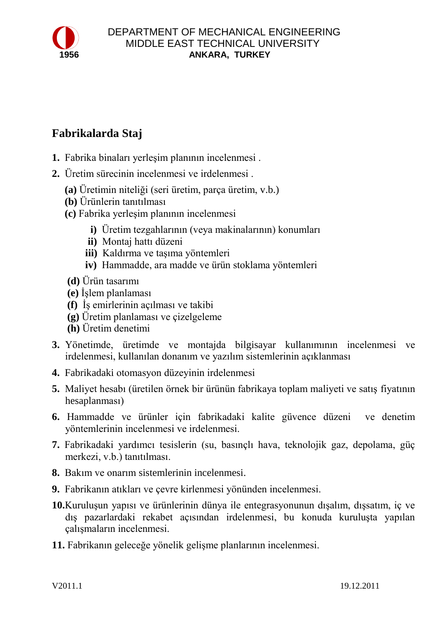

## **Fabrikalarda Staj**

- **1.** Fabrika binaları yerleşim planının incelenmesi .
- **2.** Üretim sürecinin incelenmesi ve irdelenmesi .
	- **(a)** Üretimin niteliği (seri üretim, parça üretim, v.b.)
	- **(b)** Ürünlerin tanıtılması
	- **(c)** Fabrika yerleşim planının incelenmesi
		- **i)** Üretim tezgahlarının (veya makinalarının) konumları
		- **ii)** Montaj hattı düzeni
		- **iii)** Kaldırma ve taşıma yöntemleri
		- **iv)** Hammadde, ara madde ve ürün stoklama yöntemleri
	- **(d)** Ürün tasarımı
	- **(e)** İşlem planlaması
	- **(f)** İş emirlerinin açılması ve takibi
	- **(g)** Üretim planlaması ve çizelgeleme
	- **(h)** Üretim denetimi
- **3.** Yönetimde, üretimde ve montajda bilgisayar kullanımının incelenmesi ve irdelenmesi, kullanılan donanım ve yazılım sistemlerinin açıklanması
- **4.** Fabrikadaki otomasyon düzeyinin irdelenmesi
- **5.** Maliyet hesabı (üretilen örnek bir ürünün fabrikaya toplam maliyeti ve satış fiyatının hesaplanması)
- **6.** Hammadde ve ürünler için fabrikadaki kalite güvence düzeni ve denetim yöntemlerinin incelenmesi ve irdelenmesi.
- **7.** Fabrikadaki yardımcı tesislerin (su, basınçlı hava, teknolojik gaz, depolama, güç merkezi, v.b.) tanıtılması.
- **8.** Bakım ve onarım sistemlerinin incelenmesi.
- **9.** Fabrikanın atıkları ve çevre kirlenmesi yönünden incelenmesi.
- **10.**Kuruluşun yapısı ve ürünlerinin dünya ile entegrasyonunun dışalım, dışsatım, iç ve dış pazarlardaki rekabet açısından irdelenmesi, bu konuda kuruluşta yapılan çalışmaların incelenmesi.
- **11.** Fabrikanın geleceğe yönelik gelişme planlarının incelenmesi.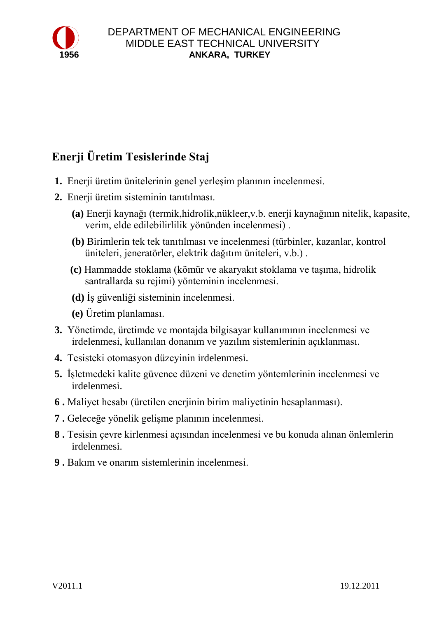

## **Enerji Üretim Tesislerinde Staj**

- **1.** Enerji üretim ünitelerinin genel yerleşim planının incelenmesi.
- **2.** Enerji üretim sisteminin tanıtılması.
	- **(a)** Enerji kaynağı (termik,hidrolik,nükleer,v.b. enerji kaynağının nitelik, kapasite, verim, elde edilebilirlilik yönünden incelenmesi) .
	- **(b)** Birimlerin tek tek tanıtılması ve incelenmesi (türbinler, kazanlar, kontrol üniteleri, jeneratörler, elektrik dağıtım üniteleri, v.b.) .
	- **(c)** Hammadde stoklama (kömür ve akaryakıt stoklama ve taşıma, hidrolik santrallarda su rejimi) yönteminin incelenmesi.
	- **(d)** İş güvenliği sisteminin incelenmesi.
	- **(e)** Üretim planlaması.
- **3.** Yönetimde, üretimde ve montajda bilgisayar kullanımının incelenmesi ve irdelenmesi, kullanılan donanım ve yazılım sistemlerinin açıklanması.
- **4.** Tesisteki otomasyon düzeyinin irdelenmesi.
- **5.** İşletmedeki kalite güvence düzeni ve denetim yöntemlerinin incelenmesi ve irdelenmesi.
- **6 .** Maliyet hesabı (üretilen enerjinin birim maliyetinin hesaplanması).
- **7 .** Geleceğe yönelik gelişme planının incelenmesi.
- **8 .** Tesisin çevre kirlenmesi açısından incelenmesi ve bu konuda alınan önlemlerin irdelenmesi.
- **9 .** Bakım ve onarım sistemlerinin incelenmesi.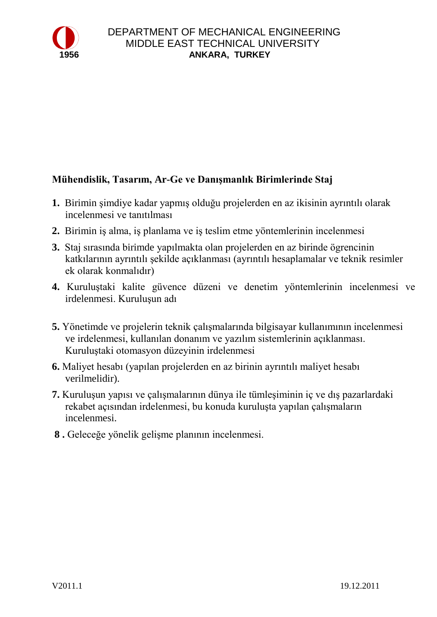

### **Mühendislik, Tasarım, Ar-Ge ve Danışmanlık Birimlerinde Staj**

- **1.** Birimin şimdiye kadar yapmış olduğu projelerden en az ikisinin ayrıntılı olarak incelenmesi ve tanıtılması
- **2.** Birimin iş alma, iş planlama ve iş teslim etme yöntemlerinin incelenmesi
- **3.** Staj sırasında birimde yapılmakta olan projelerden en az birinde ögrencinin katkılarının ayrıntılı şekilde açıklanması (ayrıntılı hesaplamalar ve teknik resimler ek olarak konmalıdır)
- **4.** Kuruluştaki kalite güvence düzeni ve denetim yöntemlerinin incelenmesi ve irdelenmesi. Kuruluşun adı
- **5.** Yönetimde ve projelerin teknik çalışmalarında bilgisayar kullanımının incelenmesi ve irdelenmesi, kullanılan donanım ve yazılım sistemlerinin açıklanması. Kuruluştaki otomasyon düzeyinin irdelenmesi
- **6.** Maliyet hesabı (yapılan projelerden en az birinin ayrıntılı maliyet hesabı verilmelidir).
- **7.** Kuruluşun yapısı ve çalışmalarının dünya ile tümleşiminin iç ve dış pazarlardaki rekabet açısından irdelenmesi, bu konuda kuruluşta yapılan çalışmaların incelenmesi.
- **8 .** Geleceğe yönelik gelişme planının incelenmesi.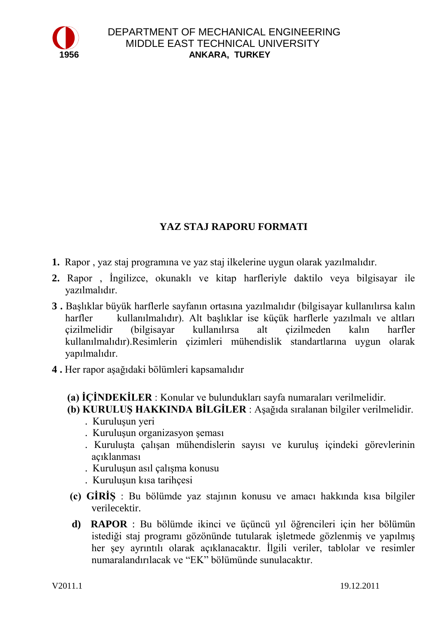

### **YAZ STAJ RAPORU FORMATI**

- **1.** Rapor , yaz staj programına ve yaz staj ilkelerine uygun olarak yazılmalıdır.
- **2.** Rapor , İngilizce, okunaklı ve kitap harfleriyle daktilo veya bilgisayar ile yazılmalıdır.
- **3 .** Başlıklar büyük harflerle sayfanın ortasına yazılmalıdır (bilgisayar kullanılırsa kalın harfler kullanılmalıdır). Alt başlıklar ise küçük harflerle yazılmalı ve altları çizilmelidir (bilgisayar kullanılırsa alt çizilmeden kalın harfler kullanılmalıdır).Resimlerin çizimleri mühendislik standartlarına uygun olarak yapılmalıdır.
- **4 .** Her rapor aşağıdaki bölümleri kapsamalıdır
	- **(a) İÇİNDEKİLER** : Konular ve bulundukları sayfa numaraları verilmelidir.
	- **(b) KURULUŞ HAKKINDA BİLGİLER** : Aşağıda sıralanan bilgiler verilmelidir.
		- . Kuruluşun yeri
		- . Kuruluşun organizasyon şeması
		- . Kuruluşta çalışan mühendislerin sayısı ve kuruluş içindeki görevlerinin açıklanması
		- . Kuruluşun asıl çalışma konusu
		- . Kuruluşun kısa tarihçesi
	- **(c) GİRİŞ** : Bu bölümde yaz stajının konusu ve amacı hakkında kısa bilgiler verilecektir.
	- **d) RAPOR** : Bu bölümde ikinci ve üçüncü yıl öğrencileri için her bölümün istediği staj programı gözönünde tutularak işletmede gözlenmiş ve yapılmış her şey ayrıntılı olarak açıklanacaktır. İlgili veriler, tablolar ve resimler numaralandırılacak ve "EK" bölümünde sunulacaktır.